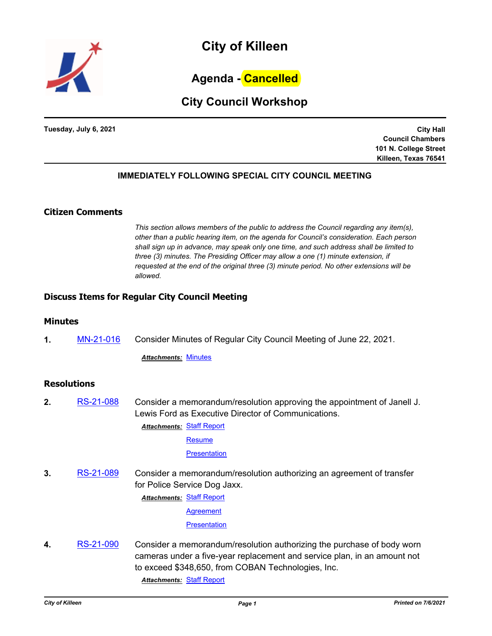

# **Agenda - Cancelled**

# **City Council Workshop**

**Tuesday, July 6, 2021**

**City Hall Council Chambers 101 N. College Street Killeen, Texas 76541**

# **IMMEDIATELY FOLLOWING SPECIAL CITY COUNCIL MEETING**

# **Citizen Comments**

*This section allows members of the public to address the Council regarding any item(s), other than a public hearing item, on the agenda for Council's consideration. Each person shall sign up in advance, may speak only one time, and such address shall be limited to three (3) minutes. The Presiding Officer may allow a one (1) minute extension, if requested at the end of the original three (3) minute period. No other extensions will be allowed.*

## **Discuss Items for Regular City Council Meeting**

#### **Minutes**

**1.** [MN-21-016](http://killeen.legistar.com/gateway.aspx?m=l&id=/matter.aspx?key=5541) Consider Minutes of Regular City Council Meeting of June 22, 2021.

*Attachments:* [Minutes](http://killeen.legistar.com/gateway.aspx?M=F&ID=23da73e9-fbcb-41d0-8982-ff4c3efe7b24.pdf)

## **Resolutions**

**2.** [RS-21-088](http://killeen.legistar.com/gateway.aspx?m=l&id=/matter.aspx?key=5586) Consider a memorandum/resolution approving the appointment of Janell J. Lewis Ford as Executive Director of Communications.

> **Attachments: [Staff Report](http://killeen.legistar.com/gateway.aspx?M=F&ID=dd0955aa-7e83-4461-ab11-a32f9a24d658.pdf) [Resume](http://killeen.legistar.com/gateway.aspx?M=F&ID=34ad3fd7-b144-4de3-b3e4-facf7e6afd0f.pdf)**

> > **[Presentation](http://killeen.legistar.com/gateway.aspx?M=F&ID=b5e3f5d4-94a5-44cc-aee8-a73a1e3df7a6.pdf)**

**3.** [RS-21-089](http://killeen.legistar.com/gateway.aspx?m=l&id=/matter.aspx?key=5505) Consider a memorandum/resolution authorizing an agreement of transfer for Police Service Dog Jaxx.

**Attachments: [Staff Report](http://killeen.legistar.com/gateway.aspx?M=F&ID=9bea54bb-6775-4e76-b578-ce2db9e7c1f5.pdf)** 

**[Agreement](http://killeen.legistar.com/gateway.aspx?M=F&ID=c2aec4f0-f6a4-447b-9a46-5b24b84eabaa.pdf)** 

**[Presentation](http://killeen.legistar.com/gateway.aspx?M=F&ID=7be2ce9d-59ee-4d51-b002-1274de874bfc.pdf)** 

**4.** [RS-21-090](http://killeen.legistar.com/gateway.aspx?m=l&id=/matter.aspx?key=5542) Consider a memorandum/resolution authorizing the purchase of body worn cameras under a five-year replacement and service plan, in an amount not to exceed \$348,650, from COBAN Technologies, Inc.

*Attachments:* [Staff Report](http://killeen.legistar.com/gateway.aspx?M=F&ID=42b9f800-b9e9-4458-a7d3-50f8b37f0178.pdf)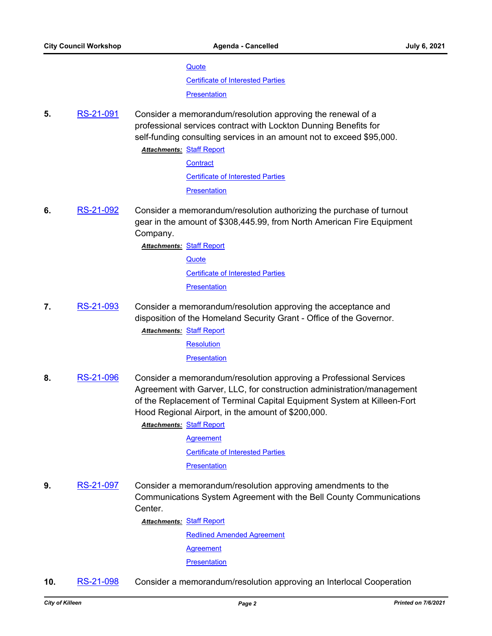#### **[Quote](http://killeen.legistar.com/gateway.aspx?M=F&ID=963da0eb-42ee-42da-bfce-7825c8f61c0c.pdf)**

[Certificate of Interested Parties](http://killeen.legistar.com/gateway.aspx?M=F&ID=bdaa99a4-9825-46a6-be58-4187c0e192e4.pdf)

**[Presentation](http://killeen.legistar.com/gateway.aspx?M=F&ID=e13f457a-2136-4a2d-8d04-32d6d199e992.pdf)** 

**5.** [RS-21-091](http://killeen.legistar.com/gateway.aspx?m=l&id=/matter.aspx?key=5532) Consider a memorandum/resolution approving the renewal of a professional services contract with Lockton Dunning Benefits for self-funding consulting services in an amount not to exceed \$95,000.

**Attachments: [Staff Report](http://killeen.legistar.com/gateway.aspx?M=F&ID=64e2421f-3264-4655-8471-c90724494e8d.pdf)** 

**[Contract](http://killeen.legistar.com/gateway.aspx?M=F&ID=b7a2224f-9124-4a42-9914-fa3798942c03.pdf)** [Certificate of Interested Parties](http://killeen.legistar.com/gateway.aspx?M=F&ID=ebf4be37-52ee-47a7-9826-ab9baa614490.pdf) **[Presentation](http://killeen.legistar.com/gateway.aspx?M=F&ID=d0d85977-0214-443e-9f1f-91cd09ed3ee2.pdf)** 

**6.** [RS-21-092](http://killeen.legistar.com/gateway.aspx?m=l&id=/matter.aspx?key=5538) Consider a memorandum/resolution authorizing the purchase of turnout gear in the amount of \$308,445.99, from North American Fire Equipment Company.

**Attachments: [Staff Report](http://killeen.legistar.com/gateway.aspx?M=F&ID=692a9292-ff18-40df-8ec4-34dc4d3ad324.pdf)** 

**[Quote](http://killeen.legistar.com/gateway.aspx?M=F&ID=d6bd5fec-20ec-4f2a-b345-bbc32bc9bfdb.pdf)** 

[Certificate of Interested Parties](http://killeen.legistar.com/gateway.aspx?M=F&ID=e8b1f123-e92b-4ac5-b642-f9e557f2f628.pdf)

**[Presentation](http://killeen.legistar.com/gateway.aspx?M=F&ID=f5c9ddf6-2d98-4c1f-ba39-5bd064085b0a.pdf)** 

**7.** [RS-21-093](http://killeen.legistar.com/gateway.aspx?m=l&id=/matter.aspx?key=5552) Consider a memorandum/resolution approving the acceptance and disposition of the Homeland Security Grant - Office of the Governor.

**Attachments: [Staff Report](http://killeen.legistar.com/gateway.aspx?M=F&ID=ca7a3c8d-25cd-4f77-868c-4c5cb55a3c55.pdf)** 

**[Resolution](http://killeen.legistar.com/gateway.aspx?M=F&ID=e88e792e-1dfa-4ff7-8c53-fda3b2a98f29.pdf)** 

**[Presentation](http://killeen.legistar.com/gateway.aspx?M=F&ID=1f18651b-e63b-4a46-8da3-93e20971c387.pdf)** 

**8.** [RS-21-096](http://killeen.legistar.com/gateway.aspx?m=l&id=/matter.aspx?key=5555) Consider a memorandum/resolution approving a Professional Services Agreement with Garver, LLC, for construction administration/management of the Replacement of Terminal Capital Equipment System at Killeen-Fort Hood Regional Airport, in the amount of \$200,000.

**Attachments: [Staff Report](http://killeen.legistar.com/gateway.aspx?M=F&ID=289d9269-a7b9-4f82-9f88-2d00ad2ec050.pdf)** 

**[Agreement](http://killeen.legistar.com/gateway.aspx?M=F&ID=e287c7b2-4eb7-40e9-b6a7-d36226c7f8a3.pdf)** 

[Certificate of Interested Parties](http://killeen.legistar.com/gateway.aspx?M=F&ID=b2813589-e3c6-4a1f-a52a-eff8a38878c6.pdf)

#### **[Presentation](http://killeen.legistar.com/gateway.aspx?M=F&ID=448fcc49-1fa9-4390-96f7-111df79af082.pdf)**

**9.** [RS-21-097](http://killeen.legistar.com/gateway.aspx?m=l&id=/matter.aspx?key=5557) Consider a memorandum/resolution approving amendments to the Communications System Agreement with the Bell County Communications Center.

**Attachments: [Staff Report](http://killeen.legistar.com/gateway.aspx?M=F&ID=13c1574f-735a-40a9-9a63-09c9fc4358d9.pdf)** 

[Redlined Amended Agreement](http://killeen.legistar.com/gateway.aspx?M=F&ID=46dd2bfe-2984-4085-b10a-89d4036b82cd.pdf) [Agreement](http://killeen.legistar.com/gateway.aspx?M=F&ID=4f965872-d6d1-4409-8bf2-4a8ab49ba39d.PDF) **[Presentation](http://killeen.legistar.com/gateway.aspx?M=F&ID=8f4948e8-9243-45b2-b801-0e762f714fd5.pdf)** 

**10.** [RS-21-098](http://killeen.legistar.com/gateway.aspx?m=l&id=/matter.aspx?key=5558) Consider a memorandum/resolution approving an Interlocal Cooperation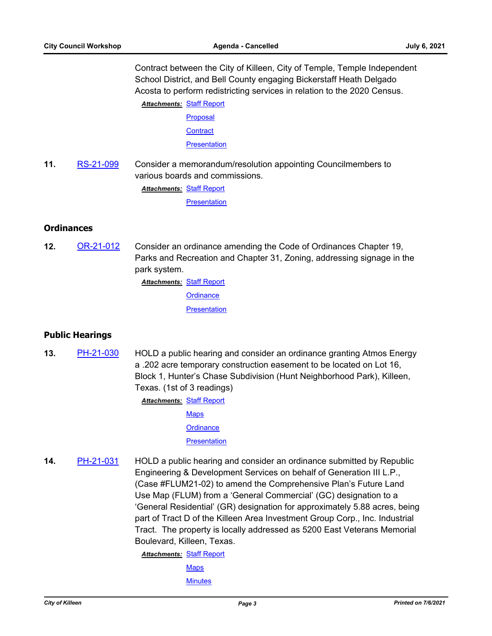Contract between the City of Killeen, City of Temple, Temple Independent School District, and Bell County engaging Bickerstaff Heath Delgado Acosta to perform redistricting services in relation to the 2020 Census.

**Attachments: [Staff Report](http://killeen.legistar.com/gateway.aspx?M=F&ID=0cb9441a-d031-4a75-b000-6c8d41c68a6b.pdf)** [Proposal](http://killeen.legistar.com/gateway.aspx?M=F&ID=22759815-bf02-43c1-a1e5-c53694ea763b.pdf) **[Contract](http://killeen.legistar.com/gateway.aspx?M=F&ID=6796414b-8681-4732-8ad1-0b61c5888394.pdf) [Presentation](http://killeen.legistar.com/gateway.aspx?M=F&ID=94e927a6-519a-4c7d-920e-9b7e67221424.pdf)** 

**11.** [RS-21-099](http://killeen.legistar.com/gateway.aspx?m=l&id=/matter.aspx?key=5583) Consider a memorandum/resolution appointing Councilmembers to various boards and commissions.

**Attachments: [Staff Report](http://killeen.legistar.com/gateway.aspx?M=F&ID=39a61e50-15fa-4157-ba7d-033fa01c7db5.pdf)** 

**[Presentation](http://killeen.legistar.com/gateway.aspx?M=F&ID=ce9a2597-3918-4c81-885c-6c2f862e3242.pdf)** 

## **Ordinances**

**12.** [OR-21-012](http://killeen.legistar.com/gateway.aspx?m=l&id=/matter.aspx?key=5565) Consider an ordinance amending the Code of Ordinances Chapter 19, Parks and Recreation and Chapter 31, Zoning, addressing signage in the park system.

**Attachments: [Staff Report](http://killeen.legistar.com/gateway.aspx?M=F&ID=91073056-0fa5-45b5-b518-918fbd55bcb0.pdf)** 

**[Ordinance](http://killeen.legistar.com/gateway.aspx?M=F&ID=88a547f4-0c08-48c8-bfc5-9a78bfcfc727.pdf)** 

**[Presentation](http://killeen.legistar.com/gateway.aspx?M=F&ID=6aef2611-518a-45ff-8ade-a8a5d78eee99.pdf)** 

## **Public Hearings**

**13.** [PH-21-030](http://killeen.legistar.com/gateway.aspx?m=l&id=/matter.aspx?key=5564) HOLD a public hearing and consider an ordinance granting Atmos Energy a .202 acre temporary construction easement to be located on Lot 16, Block 1, Hunter's Chase Subdivision (Hunt Neighborhood Park), Killeen, Texas. (1st of 3 readings)

**Attachments: [Staff Report](http://killeen.legistar.com/gateway.aspx?M=F&ID=0ed027cb-6f76-4780-8866-522a796f954d.pdf)** 

**[Maps](http://killeen.legistar.com/gateway.aspx?M=F&ID=8847f1cd-9ee0-4bea-8079-4b59fd76d916.pdf)** 

**[Ordinance](http://killeen.legistar.com/gateway.aspx?M=F&ID=44d13e7b-ff0b-46a4-a622-b465ba434e2d.pdf)** 

**[Presentation](http://killeen.legistar.com/gateway.aspx?M=F&ID=e35b7593-e5c7-4462-8243-3ec222fd5a92.pdf)** 

**14.** [PH-21-031](http://killeen.legistar.com/gateway.aspx?m=l&id=/matter.aspx?key=5543) HOLD a public hearing and consider an ordinance submitted by Republic Engineering & Development Services on behalf of Generation III L.P., (Case #FLUM21-02) to amend the Comprehensive Plan's Future Land Use Map (FLUM) from a 'General Commercial' (GC) designation to a 'General Residential' (GR) designation for approximately 5.88 acres, being part of Tract D of the Killeen Area Investment Group Corp., Inc. Industrial Tract. The property is locally addressed as 5200 East Veterans Memorial Boulevard, Killeen, Texas.

**Attachments: [Staff Report](http://killeen.legistar.com/gateway.aspx?M=F&ID=3abc3a0a-30d5-4ac1-9608-bd0ce646298a.pdf)** 

**[Maps](http://killeen.legistar.com/gateway.aspx?M=F&ID=dbbc78e8-bd1a-42bd-8883-b2f864cad02d.pdf)** 

**[Minutes](http://killeen.legistar.com/gateway.aspx?M=F&ID=6b3e0327-6e94-4cd6-b4fb-947685c62161.pdf)**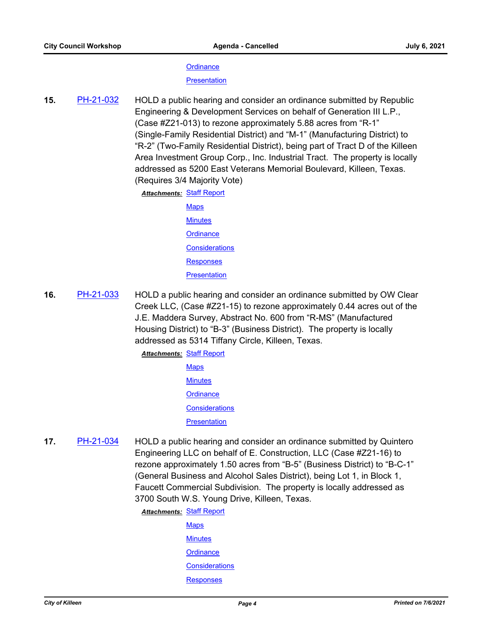#### **[Ordinance](http://killeen.legistar.com/gateway.aspx?M=F&ID=ca7901d5-eb0f-4f94-9e4b-0753e5a49e39.pdf)**

**[Presentation](http://killeen.legistar.com/gateway.aspx?M=F&ID=f7082068-01e8-413d-a0b0-7b512beca72a.pdf)** 

**15.** [PH-21-032](http://killeen.legistar.com/gateway.aspx?m=l&id=/matter.aspx?key=5544) HOLD a public hearing and consider an ordinance submitted by Republic Engineering & Development Services on behalf of Generation III L.P., (Case #Z21-013) to rezone approximately 5.88 acres from "R-1" (Single-Family Residential District) and "M-1" (Manufacturing District) to "R-2" (Two-Family Residential District), being part of Tract D of the Killeen Area Investment Group Corp., Inc. Industrial Tract. The property is locally addressed as 5200 East Veterans Memorial Boulevard, Killeen, Texas. (Requires 3/4 Majority Vote)

**Attachments: [Staff Report](http://killeen.legistar.com/gateway.aspx?M=F&ID=ecd746cb-61e2-4bcf-93fa-375d951b0772.pdf)** 

- **[Maps](http://killeen.legistar.com/gateway.aspx?M=F&ID=e6fb1395-6a7c-42c2-954e-71f2aea93e61.pdf) [Minutes](http://killeen.legistar.com/gateway.aspx?M=F&ID=59e478e5-d982-4555-b7a0-1115018458eb.pdf) [Ordinance](http://killeen.legistar.com/gateway.aspx?M=F&ID=8b122aaf-922f-4b53-855b-b5f7dd4b537e.pdf) [Considerations](http://killeen.legistar.com/gateway.aspx?M=F&ID=2bc273c8-f967-49f0-89e1-83fbb96377de.pdf)** [Responses](http://killeen.legistar.com/gateway.aspx?M=F&ID=650798d8-af17-43ff-9a16-0ca00fa51723.pdf) **[Presentation](http://killeen.legistar.com/gateway.aspx?M=F&ID=0b616604-cdbc-4e8b-b915-e1b473582e48.pdf)**
- **16.** [PH-21-033](http://killeen.legistar.com/gateway.aspx?m=l&id=/matter.aspx?key=5545) HOLD a public hearing and consider an ordinance submitted by OW Clear Creek LLC, (Case #Z21-15) to rezone approximately 0.44 acres out of the J.E. Maddera Survey, Abstract No. 600 from "R-MS" (Manufactured Housing District) to "B-3" (Business District). The property is locally addressed as 5314 Tiffany Circle, Killeen, Texas.

**Attachments: [Staff Report](http://killeen.legistar.com/gateway.aspx?M=F&ID=ef291f6d-3a91-4c03-b0c2-f07e7ac8e112.pdf)** 

- **[Maps](http://killeen.legistar.com/gateway.aspx?M=F&ID=1897128a-0e5f-49d4-988f-ca59d0e1a703.pdf) [Minutes](http://killeen.legistar.com/gateway.aspx?M=F&ID=2dd86b0f-c485-42be-b5af-e42a066ba170.pdf) [Ordinance](http://killeen.legistar.com/gateway.aspx?M=F&ID=9c2a6e46-7a52-4195-a721-1a5d7ef44607.pdf) [Considerations](http://killeen.legistar.com/gateway.aspx?M=F&ID=89d748d8-603a-46ee-9ed9-1a95dc1d4c0c.pdf) [Presentation](http://killeen.legistar.com/gateway.aspx?M=F&ID=d509e37e-ffd6-43a3-9321-c8508951f98f.pdf)**
- **17.** [PH-21-034](http://killeen.legistar.com/gateway.aspx?m=l&id=/matter.aspx?key=5547) HOLD a public hearing and consider an ordinance submitted by Quintero Engineering LLC on behalf of E. Construction, LLC (Case #Z21-16) to rezone approximately 1.50 acres from "B-5" (Business District) to "B-C-1" (General Business and Alcohol Sales District), being Lot 1, in Block 1, Faucett Commercial Subdivision. The property is locally addressed as 3700 South W.S. Young Drive, Killeen, Texas.

**Attachments: [Staff Report](http://killeen.legistar.com/gateway.aspx?M=F&ID=7c2ffefb-4ac1-45be-9233-522693bf28cf.pdf)** 

**[Maps](http://killeen.legistar.com/gateway.aspx?M=F&ID=99cd4beb-7f83-4348-8708-fa73619b55fa.pdf) [Minutes](http://killeen.legistar.com/gateway.aspx?M=F&ID=71d3f0d8-3cb1-497a-ad40-b83a10c11356.pdf) [Ordinance](http://killeen.legistar.com/gateway.aspx?M=F&ID=f1805697-51e0-4654-a410-afd84bd40931.pdf) [Considerations](http://killeen.legistar.com/gateway.aspx?M=F&ID=e8ef24cd-9aaf-4cf7-a947-6812e5d226f6.pdf)** [Responses](http://killeen.legistar.com/gateway.aspx?M=F&ID=5b151d82-6d1c-4989-9cf0-a6ad532a4795.pdf)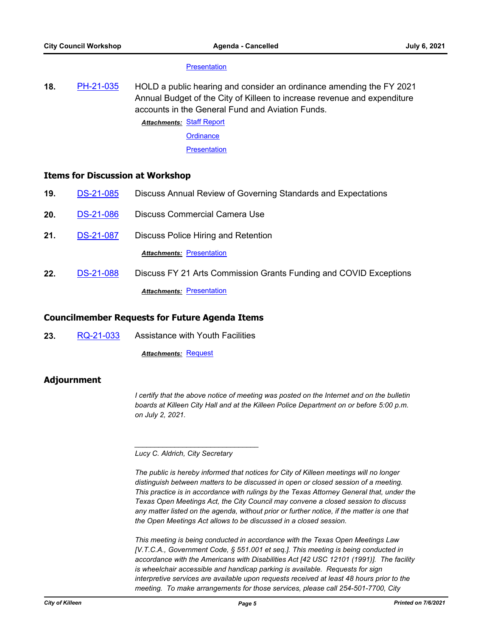#### **[Presentation](http://killeen.legistar.com/gateway.aspx?M=F&ID=a0509ef3-2d1e-46cb-8cbb-1e5772f33838.pdf)**

**18.** [PH-21-035](http://killeen.legistar.com/gateway.aspx?m=l&id=/matter.aspx?key=5566) HOLD a public hearing and consider an ordinance amending the FY 2021 Annual Budget of the City of Killeen to increase revenue and expenditure accounts in the General Fund and Aviation Funds.

**Attachments: [Staff Report](http://killeen.legistar.com/gateway.aspx?M=F&ID=3d2a0068-5540-4845-a0eb-a608374e1f55.pdf)** 

**[Ordinance](http://killeen.legistar.com/gateway.aspx?M=F&ID=ad14f71f-e93f-4fa2-86a2-85eb9e770baa.pdf)** 

**[Presentation](http://killeen.legistar.com/gateway.aspx?M=F&ID=b96e29a9-d396-4fa7-a8d9-223909956abd.pdf)** 

## **Items for Discussion at Workshop**

- **19.** [DS-21-085](http://killeen.legistar.com/gateway.aspx?m=l&id=/matter.aspx?key=5556) Discuss Annual Review of Governing Standards and Expectations
- **20.** [DS-21-086](http://killeen.legistar.com/gateway.aspx?m=l&id=/matter.aspx?key=5419) Discuss Commercial Camera Use
- **21.** [DS-21-087](http://killeen.legistar.com/gateway.aspx?m=l&id=/matter.aspx?key=5520) Discuss Police Hiring and Retention

**Attachments: [Presentation](http://killeen.legistar.com/gateway.aspx?M=F&ID=5e58a69c-2cff-4b6d-9036-e2d651cb678a.pdf)** 

**22.** [DS-21-088](http://killeen.legistar.com/gateway.aspx?m=l&id=/matter.aspx?key=5551) Discuss FY 21 Arts Commission Grants Funding and COVID Exceptions **Attachments: [Presentation](http://killeen.legistar.com/gateway.aspx?M=F&ID=be518757-1bc8-44e6-8563-42b54bb32d3f.pdf)** 

# **Councilmember Requests for Future Agenda Items**

**23.** [RQ-21-033](http://killeen.legistar.com/gateway.aspx?m=l&id=/matter.aspx?key=5546) Assistance with Youth Facilities

**Attachments: [Request](http://killeen.legistar.com/gateway.aspx?M=F&ID=14dbd3fe-c3e2-470d-bf59-f61a07824ac7.pdf)** 

## **Adjournment**

*I* certify that the above notice of meeting was posted on the Internet and on the bulletin *boards at Killeen City Hall and at the Killeen Police Department on or before 5:00 p.m. on July 2, 2021.*

*Lucy C. Aldrich, City Secretary* 

*\_\_\_\_\_\_\_\_\_\_\_\_\_\_\_\_\_\_\_\_\_\_\_\_\_\_\_\_\_\_\_*

*The public is hereby informed that notices for City of Killeen meetings will no longer distinguish between matters to be discussed in open or closed session of a meeting. This practice is in accordance with rulings by the Texas Attorney General that, under the Texas Open Meetings Act, the City Council may convene a closed session to discuss any matter listed on the agenda, without prior or further notice, if the matter is one that the Open Meetings Act allows to be discussed in a closed session.*

*This meeting is being conducted in accordance with the Texas Open Meetings Law [V.T.C.A., Government Code, § 551.001 et seq.]. This meeting is being conducted in accordance with the Americans with Disabilities Act [42 USC 12101 (1991)]. The facility is wheelchair accessible and handicap parking is available. Requests for sign interpretive services are available upon requests received at least 48 hours prior to the meeting. To make arrangements for those services, please call 254-501-7700, City*